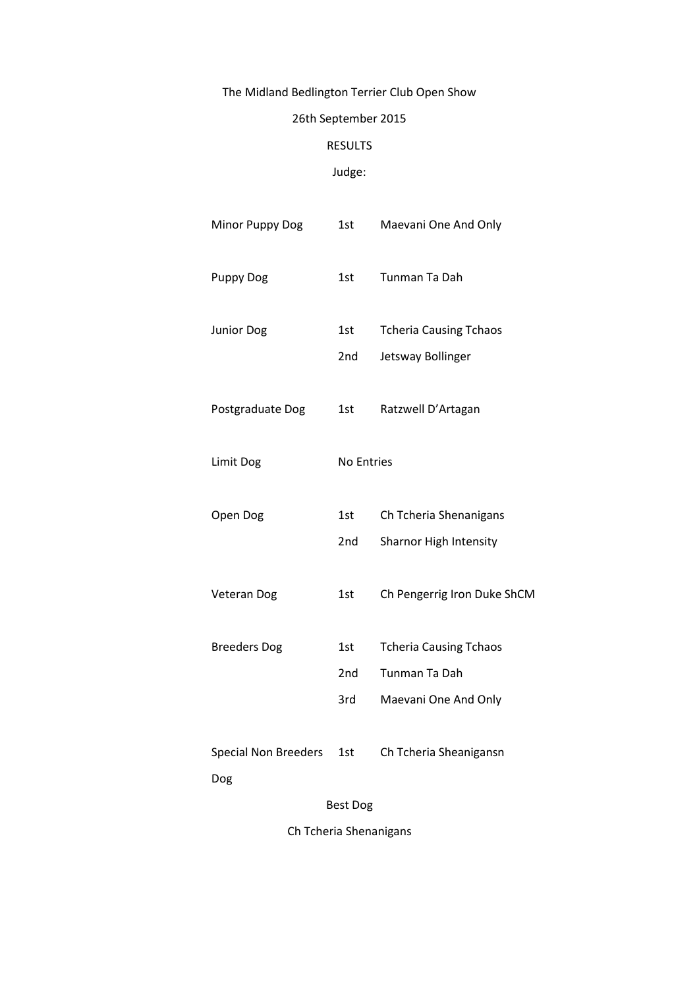# The Midland Bedlington Terrier Club Open Show

## 26th September 2015

## RESULTS

## Judge:

| Minor Puppy Dog                    | 1st                           | Maevani One And Only                                                   |  |  |
|------------------------------------|-------------------------------|------------------------------------------------------------------------|--|--|
| Puppy Dog                          | 1st                           | Tunman Ta Dah                                                          |  |  |
| Junior Dog                         | 1st<br>2nd                    | <b>Tcheria Causing Tchaos</b><br>Jetsway Bollinger                     |  |  |
| Postgraduate Dog                   | 1st                           | Ratzwell D'Artagan                                                     |  |  |
| Limit Dog                          | No Entries                    |                                                                        |  |  |
| Open Dog                           | 1st<br>2nd                    | Ch Tcheria Shenanigans<br>Sharnor High Intensity                       |  |  |
| Veteran Dog                        | 1st                           | Ch Pengerrig Iron Duke ShCM                                            |  |  |
| <b>Breeders Dog</b>                | 1st<br>2 <sub>nd</sub><br>3rd | <b>Tcheria Causing Tchaos</b><br>Tunman Ta Dah<br>Maevani One And Only |  |  |
| <b>Special Non Breeders</b><br>Dog | 1st                           | Ch Tcheria Sheanigansn                                                 |  |  |
| <b>Best Dog</b>                    |                               |                                                                        |  |  |
| Ch Tcheria Shenanigans             |                               |                                                                        |  |  |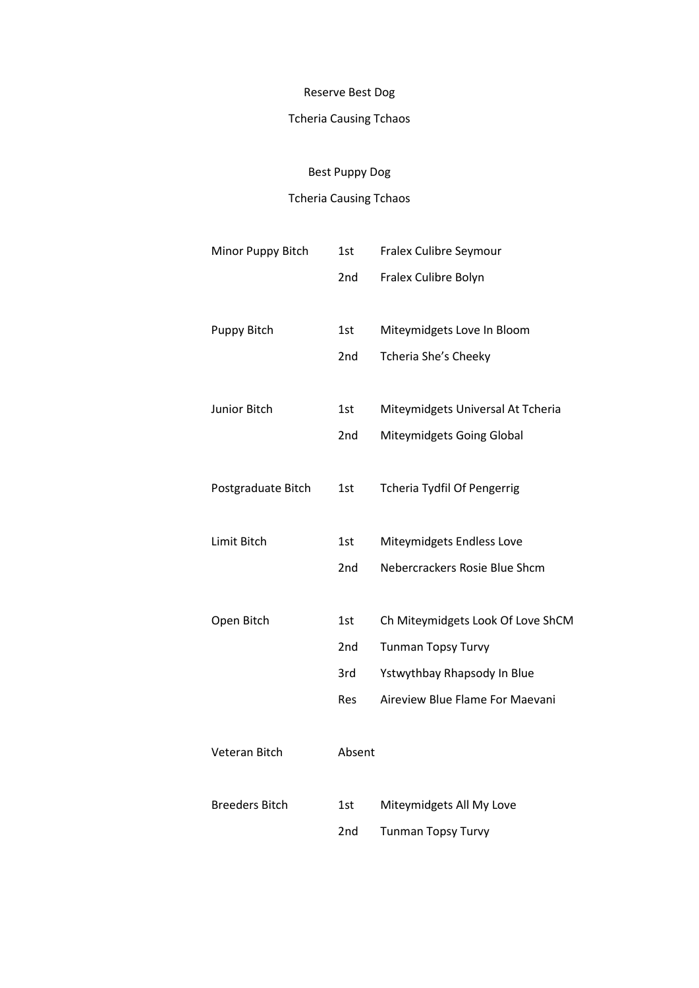#### Reserve Best Dog

## Tcheria Causing Tchaos

## Best Puppy Dog

### Tcheria Causing Tchaos

| Minor Puppy Bitch     | 1st        | Fralex Culibre Seymour             |
|-----------------------|------------|------------------------------------|
|                       | 2nd        | Fralex Culibre Bolyn               |
|                       |            |                                    |
| Puppy Bitch           | 1st        | Miteymidgets Love In Bloom         |
|                       | 2nd        | Tcheria She's Cheeky               |
|                       |            |                                    |
| Junior Bitch          | 1st        | Miteymidgets Universal At Tcheria  |
|                       | 2nd        | Miteymidgets Going Global          |
|                       |            |                                    |
| Postgraduate Bitch    | 1st        | <b>Tcheria Tydfil Of Pengerrig</b> |
|                       |            |                                    |
| Limit Bitch           | 1st        | Miteymidgets Endless Love          |
|                       | 2nd        | Nebercrackers Rosie Blue Shcm      |
|                       |            |                                    |
| Open Bitch            | 1st        | Ch Miteymidgets Look Of Love ShCM  |
|                       | 2nd        | Tunman Topsy Turvy                 |
|                       | 3rd        | Ystwythbay Rhapsody In Blue        |
|                       | <b>Res</b> | Aireview Blue Flame For Maevani    |
|                       |            |                                    |
| Veteran Bitch         | Absent     |                                    |
|                       |            |                                    |
| <b>Breeders Bitch</b> | 1st        | Miteymidgets All My Love           |
|                       | 2nd        | <b>Tunman Topsy Turvy</b>          |